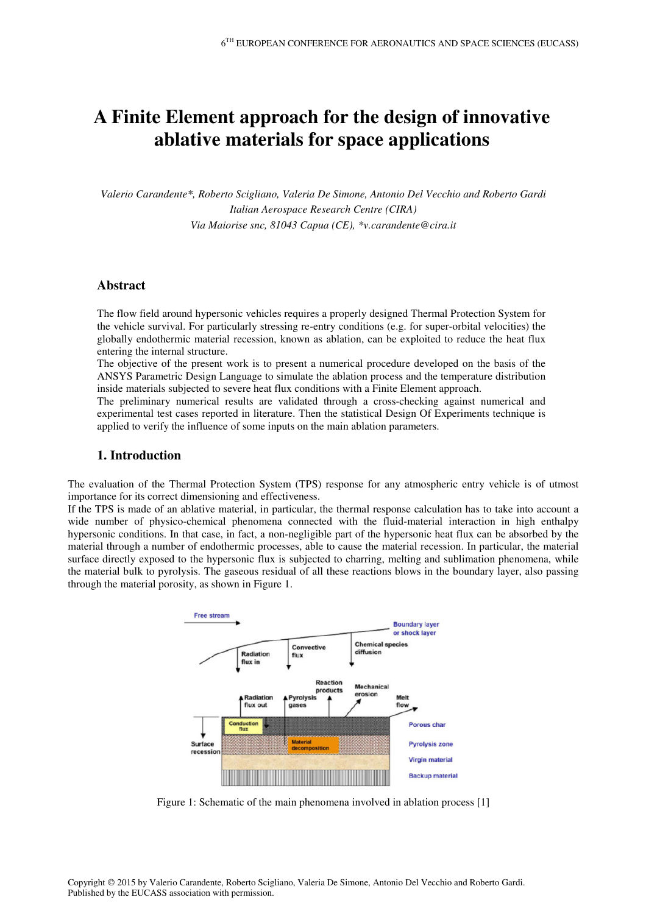# **A Finite Element approach for the design of innovative ablative materials for space applications**

*Valerio Carandente\*, Roberto Scigliano, Valeria De Simone, Antonio Del Vecchio and Roberto Gardi Italian Aerospace Research Centre (CIRA) Via Maiorise snc, 81043 Capua (CE), \*v.carandente@cira.it* 

## **Abstract**

The flow field around hypersonic vehicles requires a properly designed Thermal Protection System for the vehicle survival. For particularly stressing re-entry conditions (e.g. for super-orbital velocities) the globally endothermic material recession, known as ablation, can be exploited to reduce the heat flux entering the internal structure.

The objective of the present work is to present a numerical procedure developed on the basis of the ANSYS Parametric Design Language to simulate the ablation process and the temperature distribution inside materials subjected to severe heat flux conditions with a Finite Element approach.

The preliminary numerical results are validated through a cross-checking against numerical and experimental test cases reported in literature. Then the statistical Design Of Experiments technique is applied to verify the influence of some inputs on the main ablation parameters.

## **1. Introduction**

The evaluation of the Thermal Protection System (TPS) response for any atmospheric entry vehicle is of utmost importance for its correct dimensioning and effectiveness.

If the TPS is made of an ablative material, in particular, the thermal response calculation has to take into account a wide number of physico-chemical phenomena connected with the fluid-material interaction in high enthalpy hypersonic conditions. In that case, in fact, a non-negligible part of the hypersonic heat flux can be absorbed by the material through a number of endothermic processes, able to cause the material recession. In particular, the material surface directly exposed to the hypersonic flux is subjected to charring, melting and sublimation phenomena, while the material bulk to pyrolysis. The gaseous residual of all these reactions blows in the boundary layer, also passing through the material porosity, as shown in Figure 1.



Figure 1: Schematic of the main phenomena involved in ablation process [1]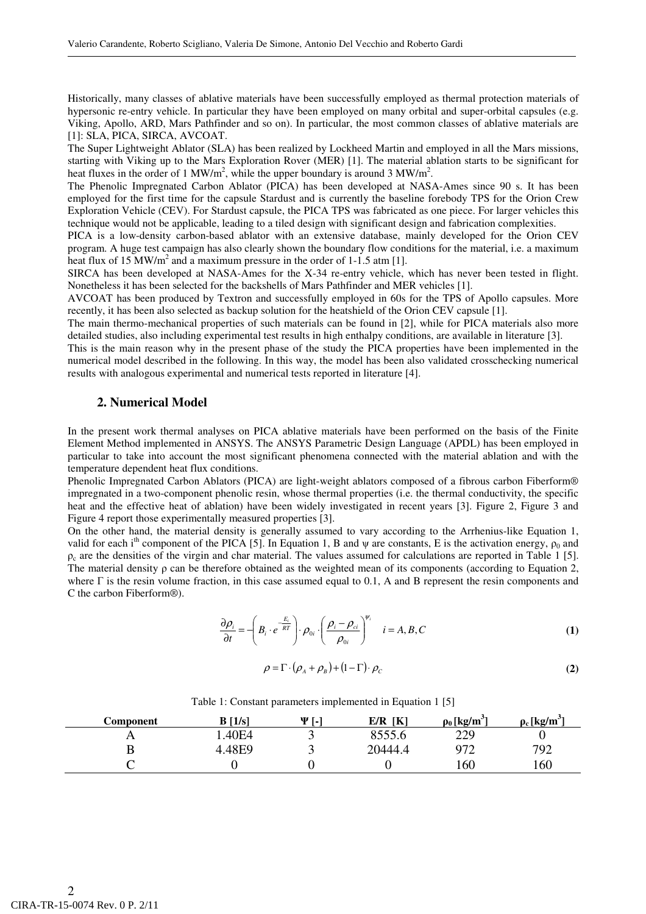Historically, many classes of ablative materials have been successfully employed as thermal protection materials of hypersonic re-entry vehicle. In particular they have been employed on many orbital and super-orbital capsules (e.g. Viking, Apollo, ARD, Mars Pathfinder and so on). In particular, the most common classes of ablative materials are [1]: SLA, PICA, SIRCA, AVCOAT.

 $\overline{a}$ 

The Super Lightweight Ablator (SLA) has been realized by Lockheed Martin and employed in all the Mars missions, starting with Viking up to the Mars Exploration Rover (MER) [1]. The material ablation starts to be significant for heat fluxes in the order of 1 MW/m<sup>2</sup>, while the upper boundary is around 3 MW/m<sup>2</sup>.

The Phenolic Impregnated Carbon Ablator (PICA) has been developed at NASA-Ames since 90 s. It has been employed for the first time for the capsule Stardust and is currently the baseline forebody TPS for the Orion Crew Exploration Vehicle (CEV). For Stardust capsule, the PICA TPS was fabricated as one piece. For larger vehicles this technique would not be applicable, leading to a tiled design with significant design and fabrication complexities.

PICA is a low-density carbon-based ablator with an extensive database, mainly developed for the Orion CEV program. A huge test campaign has also clearly shown the boundary flow conditions for the material, i.e. a maximum heat flux of 15 MW/m<sup>2</sup> and a maximum pressure in the order of 1-1.5 atm [1].

SIRCA has been developed at NASA-Ames for the X-34 re-entry vehicle, which has never been tested in flight. Nonetheless it has been selected for the backshells of Mars Pathfinder and MER vehicles [1].

AVCOAT has been produced by Textron and successfully employed in 60s for the TPS of Apollo capsules. More recently, it has been also selected as backup solution for the heatshield of the Orion CEV capsule [1].

The main thermo-mechanical properties of such materials can be found in [2], while for PICA materials also more detailed studies, also including experimental test results in high enthalpy conditions, are available in literature [3].

This is the main reason why in the present phase of the study the PICA properties have been implemented in the numerical model described in the following. In this way, the model has been also validated crosschecking numerical results with analogous experimental and numerical tests reported in literature [4].

# **2. Numerical Model**

In the present work thermal analyses on PICA ablative materials have been performed on the basis of the Finite Element Method implemented in ANSYS. The ANSYS Parametric Design Language (APDL) has been employed in particular to take into account the most significant phenomena connected with the material ablation and with the temperature dependent heat flux conditions.

Phenolic Impregnated Carbon Ablators (PICA) are light-weight ablators composed of a fibrous carbon Fiberform® impregnated in a two-component phenolic resin, whose thermal properties (i.e. the thermal conductivity, the specific heat and the effective heat of ablation) have been widely investigated in recent years [3]. Figure 2, Figure 3 and Figure 4 report those experimentally measured properties [3].

On the other hand, the material density is generally assumed to vary according to the Arrhenius-like Equation 1, valid for each i<sup>th</sup> component of the PICA [5]. In Equation 1, B and  $\psi$  are constants, E is the activation energy,  $\rho_0$  and  $\rho_c$  are the densities of the virgin and char material. The values assumed for calculations are reported in Table 1 [5]. The material density ρ can be therefore obtained as the weighted mean of its components (according to Equation 2, where  $\Gamma$  is the resin volume fraction, in this case assumed equal to 0.1, A and B represent the resin components and C the carbon Fiberform®).

$$
\frac{\partial \rho_i}{\partial t} = -\left(B_i \cdot e^{-\frac{E_i}{RT}}\right) \cdot \rho_{0i} \cdot \left(\frac{\rho_i - \rho_{ci}}{\rho_{0i}}\right)^{\psi_i} \quad i = A, B, C
$$
\n(1)

$$
\rho = \Gamma \cdot (\rho_A + \rho_B) + (1 - \Gamma) \cdot \rho_C \tag{2}
$$

Table 1: Constant parameters implemented in Equation 1 [5]

| Component | $B \mid 1/s$ | Ψ LI | IK<br>E/R | $\rho_0$ [kg/m <sup>3</sup> ] | $\rho_c$ [kg/m <sup>3</sup> ] |
|-----------|--------------|------|-----------|-------------------------------|-------------------------------|
| A         | .40E4        |      | 8555.6    | 229                           |                               |
|           | 4.48E9       |      | 20444.4   | 972                           | 792                           |
| ◡         |              |      |           | 160                           | 160                           |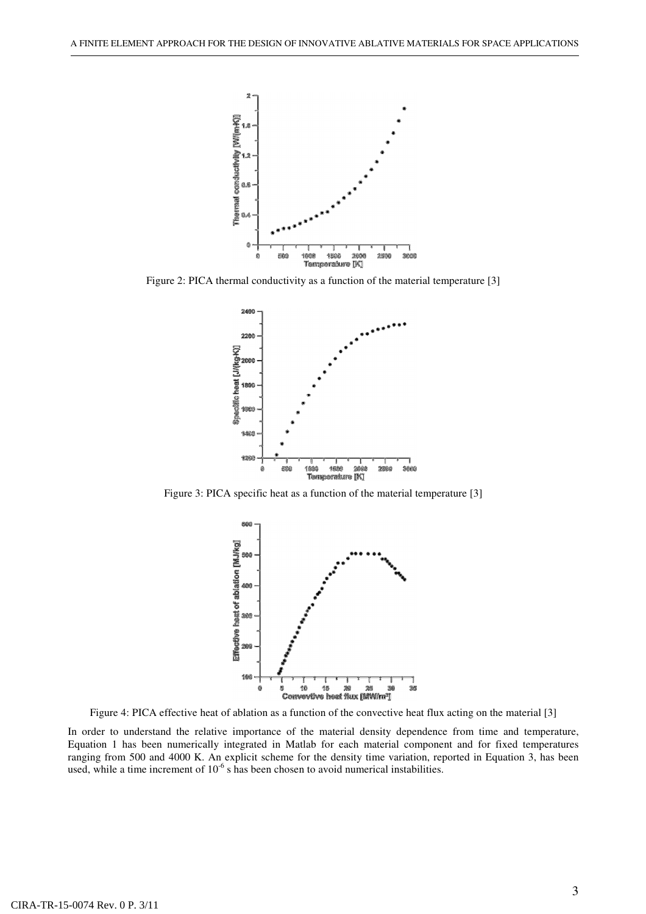

Figure 2: PICA thermal conductivity as a function of the material temperature [3]



Figure 3: PICA specific heat as a function of the material temperature [3]



Figure 4: PICA effective heat of ablation as a function of the convective heat flux acting on the material [3]

In order to understand the relative importance of the material density dependence from time and temperature, Equation 1 has been numerically integrated in Matlab for each material component and for fixed temperatures ranging from 500 and 4000 K. An explicit scheme for the density time variation, reported in Equation 3, has been used, while a time increment of  $10^{-6}$  s has been chosen to avoid numerical instabilities.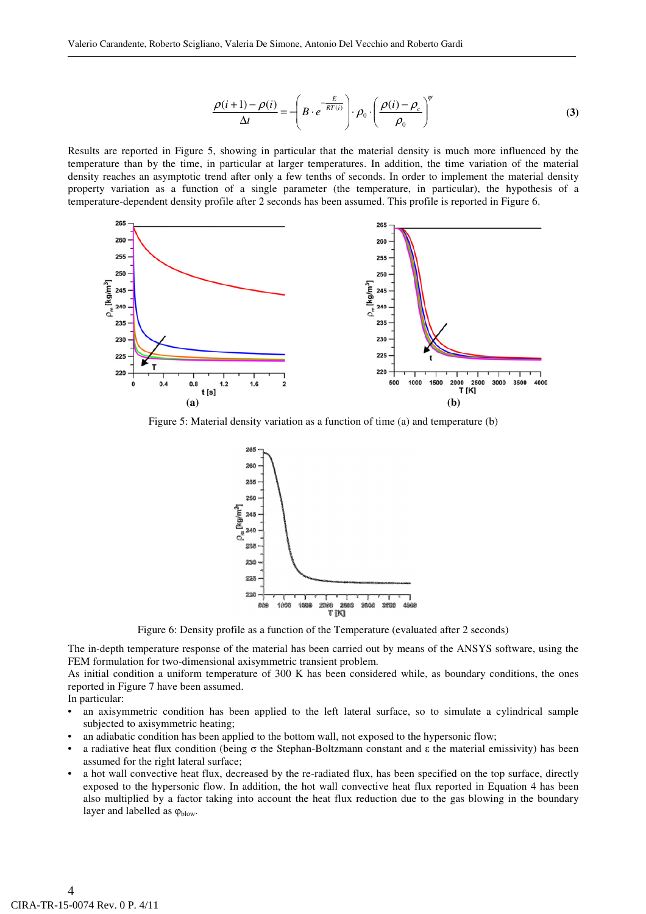$$
\frac{\rho(i+1) - \rho(i)}{\Delta t} = -\left(B \cdot e^{-\frac{E}{RT(i)}}\right) \cdot \rho_0 \cdot \left(\frac{\rho(i) - \rho_c}{\rho_0}\right)^{\psi}
$$
\n(3)

Results are reported in Figure 5, showing in particular that the material density is much more influenced by the temperature than by the time, in particular at larger temperatures. In addition, the time variation of the material density reaches an asymptotic trend after only a few tenths of seconds. In order to implement the material density property variation as a function of a single parameter (the temperature, in particular), the hypothesis of a temperature-dependent density profile after 2 seconds has been assumed. This profile is reported in Figure 6.



Figure 5: Material density variation as a function of time (a) and temperature (b)



Figure 6: Density profile as a function of the Temperature (evaluated after 2 seconds)

The in-depth temperature response of the material has been carried out by means of the ANSYS software, using the FEM formulation for two-dimensional axisymmetric transient problem.

As initial condition a uniform temperature of 300 K has been considered while, as boundary conditions, the ones reported in Figure 7 have been assumed.

In particular:

- an axisymmetric condition has been applied to the left lateral surface, so to simulate a cylindrical sample subjected to axisymmetric heating;
- an adiabatic condition has been applied to the bottom wall, not exposed to the hypersonic flow;
- a radiative heat flux condition (being σ the Stephan-Boltzmann constant and ε the material emissivity) has been assumed for the right lateral surface;
- a hot wall convective heat flux, decreased by the re-radiated flux, has been specified on the top surface, directly exposed to the hypersonic flow. In addition, the hot wall convective heat flux reported in Equation 4 has been also multiplied by a factor taking into account the heat flux reduction due to the gas blowing in the boundary layer and labelled as  $\varphi_{\text{blow}}$ .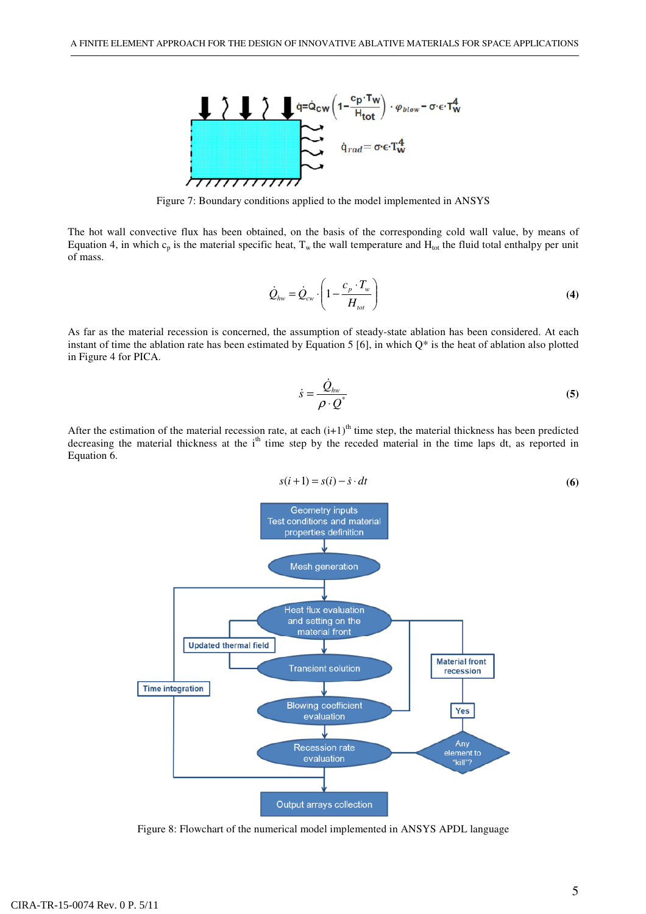

Figure 7: Boundary conditions applied to the model implemented in ANSYS

The hot wall convective flux has been obtained, on the basis of the corresponding cold wall value, by means of Equation 4, in which  $c_p$  is the material specific heat,  $T_w$  the wall temperature and  $H_{tot}$  the fluid total enthalpy per unit of mass.

$$
\dot{Q}_{hw} = \dot{Q}_{cw} \cdot \left(1 - \frac{c_p \cdot T_w}{H_{tot}}\right)
$$
\n(4)

j

As far as the material recession is concerned, the assumption of steady-state ablation has been considered. At each instant of time the ablation rate has been estimated by Equation 5 [6], in which  $Q^*$  is the heat of ablation also plotted in Figure 4 for PICA.

$$
\dot{s} = \frac{\dot{Q}_{hw}}{\rho \cdot Q^*}
$$
 (5)

After the estimation of the material recession rate, at each  $(i+1)^{th}$  time step, the material thickness has been predicted decreasing the material thickness at the i<sup>th</sup> time step by the receded material in the time laps dt, as reported in Equation 6.



Figure 8: Flowchart of the numerical model implemented in ANSYS APDL language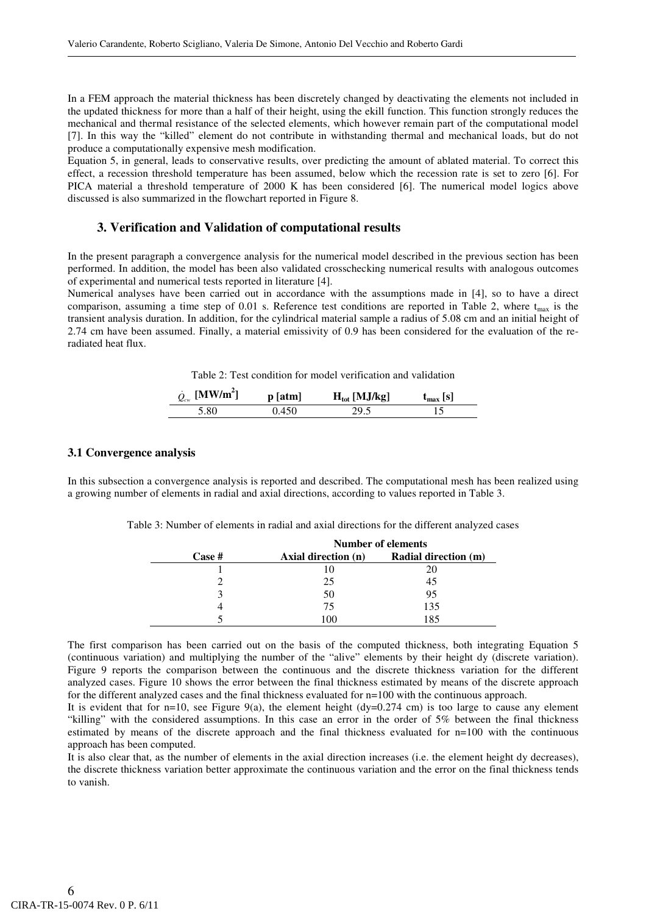In a FEM approach the material thickness has been discretely changed by deactivating the elements not included in the updated thickness for more than a half of their height, using the ekill function. This function strongly reduces the mechanical and thermal resistance of the selected elements, which however remain part of the computational model [7]. In this way the "killed" element do not contribute in withstanding thermal and mechanical loads, but do not produce a computationally expensive mesh modification.

 $\overline{a}$ 

Equation 5, in general, leads to conservative results, over predicting the amount of ablated material. To correct this effect, a recession threshold temperature has been assumed, below which the recession rate is set to zero [6]. For PICA material a threshold temperature of 2000 K has been considered [6]. The numerical model logics above discussed is also summarized in the flowchart reported in Figure 8.

## **3. Verification and Validation of computational results**

In the present paragraph a convergence analysis for the numerical model described in the previous section has been performed. In addition, the model has been also validated crosschecking numerical results with analogous outcomes of experimental and numerical tests reported in literature [4].

Numerical analyses have been carried out in accordance with the assumptions made in [4], so to have a direct comparison, assuming a time step of 0.01 s. Reference test conditions are reported in Table 2, where  $t_{\text{max}}$  is the transient analysis duration. In addition, for the cylindrical material sample a radius of 5.08 cm and an initial height of 2.74 cm have been assumed. Finally, a material emissivity of 0.9 has been considered for the evaluation of the reradiated heat flux.

Table 2: Test condition for model verification and validation

| $\dot{Q}_{\text{cw}}$ [MW/m <sup>2</sup> ] | $p$ [atm] | $H_{tot}$ [MJ/kg] | $t_{\rm max}$ [s] |
|--------------------------------------------|-----------|-------------------|-------------------|
| 5.80                                       | 0.450     | 29.5              |                   |

#### **3.1 Convergence analysis**

In this subsection a convergence analysis is reported and described. The computational mesh has been realized using a growing number of elements in radial and axial directions, according to values reported in Table 3.

|  |  |  |  |  |  |  | Table 3: Number of elements in radial and axial directions for the different analyzed cases |  |  |
|--|--|--|--|--|--|--|---------------------------------------------------------------------------------------------|--|--|
|  |  |  |  |  |  |  |                                                                                             |  |  |

|        | <b>Number of elements</b>                   |     |  |  |  |
|--------|---------------------------------------------|-----|--|--|--|
| Case # | Radial direction (m)<br>Axial direction (n) |     |  |  |  |
|        | 10                                          | 20  |  |  |  |
|        | 25                                          | 45  |  |  |  |
|        | 50                                          | 95  |  |  |  |
|        | 75                                          | 135 |  |  |  |
|        | $\alpha$                                    | 185 |  |  |  |

The first comparison has been carried out on the basis of the computed thickness, both integrating Equation 5 (continuous variation) and multiplying the number of the "alive" elements by their height dy (discrete variation). Figure 9 reports the comparison between the continuous and the discrete thickness variation for the different analyzed cases. Figure 10 shows the error between the final thickness estimated by means of the discrete approach for the different analyzed cases and the final thickness evaluated for n=100 with the continuous approach.

It is evident that for  $n=10$ , see Figure 9(a), the element height (dy=0.274 cm) is too large to cause any element "killing" with the considered assumptions. In this case an error in the order of 5% between the final thickness estimated by means of the discrete approach and the final thickness evaluated for n=100 with the continuous approach has been computed.

It is also clear that, as the number of elements in the axial direction increases (i.e. the element height dy decreases), the discrete thickness variation better approximate the continuous variation and the error on the final thickness tends to vanish.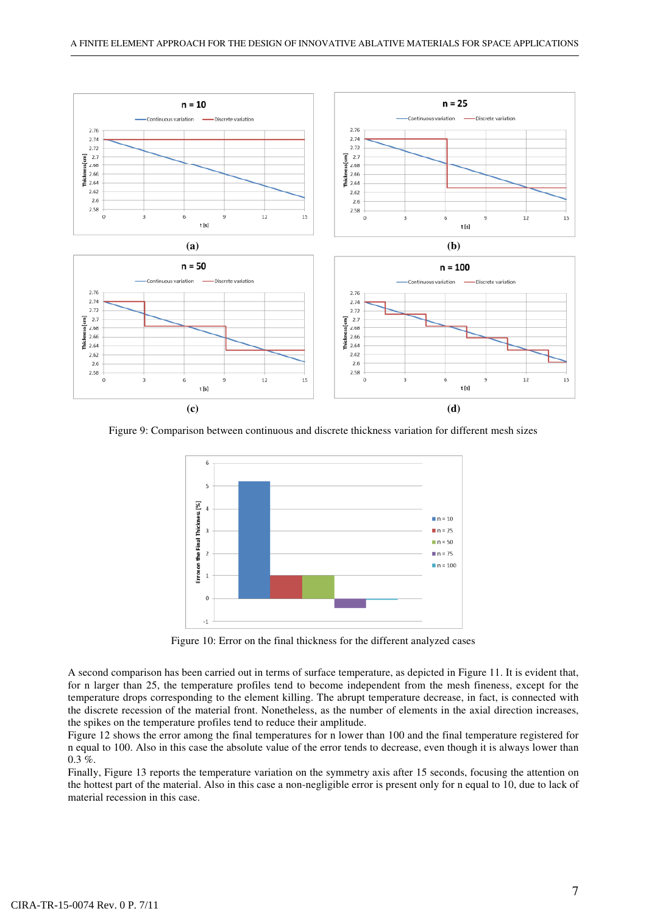

Figure 9: Comparison between continuous and discrete thickness variation for different mesh sizes



Figure 10: Error on the final thickness for the different analyzed cases

A second comparison has been carried out in terms of surface temperature, as depicted in Figure 11. It is evident that, for n larger than 25, the temperature profiles tend to become independent from the mesh fineness, except for the temperature drops corresponding to the element killing. The abrupt temperature decrease, in fact, is connected with the discrete recession of the material front. Nonetheless, as the number of elements in the axial direction increases, the spikes on the temperature profiles tend to reduce their amplitude.

Figure 12 shows the error among the final temperatures for n lower than 100 and the final temperature registered for n equal to 100. Also in this case the absolute value of the error tends to decrease, even though it is always lower than 0.3 %.

Finally, Figure 13 reports the temperature variation on the symmetry axis after 15 seconds, focusing the attention on the hottest part of the material. Also in this case a non-negligible error is present only for n equal to 10, due to lack of material recession in this case.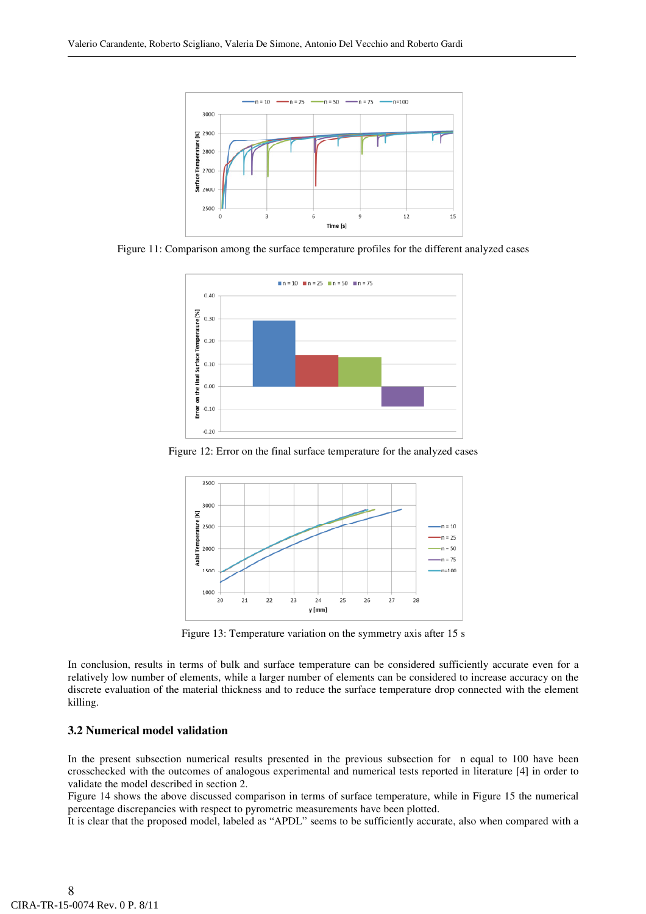

Figure 11: Comparison among the surface temperature profiles for the different analyzed cases



Figure 12: Error on the final surface temperature for the analyzed cases



Figure 13: Temperature variation on the symmetry axis after 15 s

In conclusion, results in terms of bulk and surface temperature can be considered sufficiently accurate even for a relatively low number of elements, while a larger number of elements can be considered to increase accuracy on the discrete evaluation of the material thickness and to reduce the surface temperature drop connected with the element killing.

## **3.2 Numerical model validation**

In the present subsection numerical results presented in the previous subsection for n equal to 100 have been crosschecked with the outcomes of analogous experimental and numerical tests reported in literature [4] in order to validate the model described in section 2.

Figure 14 shows the above discussed comparison in terms of surface temperature, while in Figure 15 the numerical percentage discrepancies with respect to pyrometric measurements have been plotted.

It is clear that the proposed model, labeled as "APDL" seems to be sufficiently accurate, also when compared with a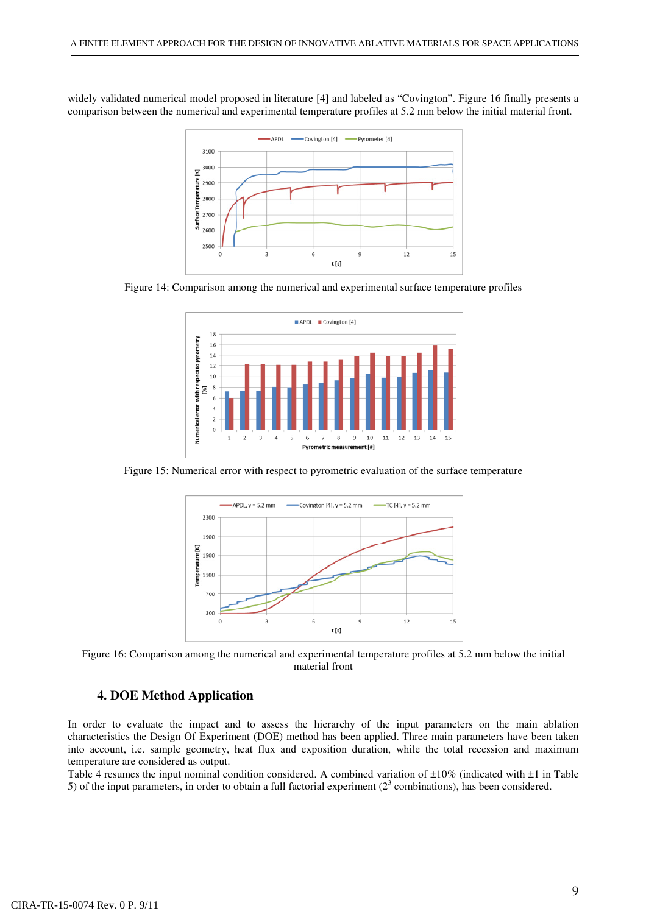widely validated numerical model proposed in literature [4] and labeled as "Covington". Figure 16 finally presents a comparison between the numerical and experimental temperature profiles at 5.2 mm below the initial material front.



Figure 14: Comparison among the numerical and experimental surface temperature profiles



Figure 15: Numerical error with respect to pyrometric evaluation of the surface temperature



Figure 16: Comparison among the numerical and experimental temperature profiles at 5.2 mm below the initial material front

# **4. DOE Method Application**

In order to evaluate the impact and to assess the hierarchy of the input parameters on the main ablation characteristics the Design Of Experiment (DOE) method has been applied. Three main parameters have been taken into account, i.e. sample geometry, heat flux and exposition duration, while the total recession and maximum temperature are considered as output.

Table 4 resumes the input nominal condition considered. A combined variation of  $\pm 10\%$  (indicated with  $\pm 1$  in Table 5) of the input parameters, in order to obtain a full factorial experiment  $(2<sup>3</sup>$  combinations), has been considered.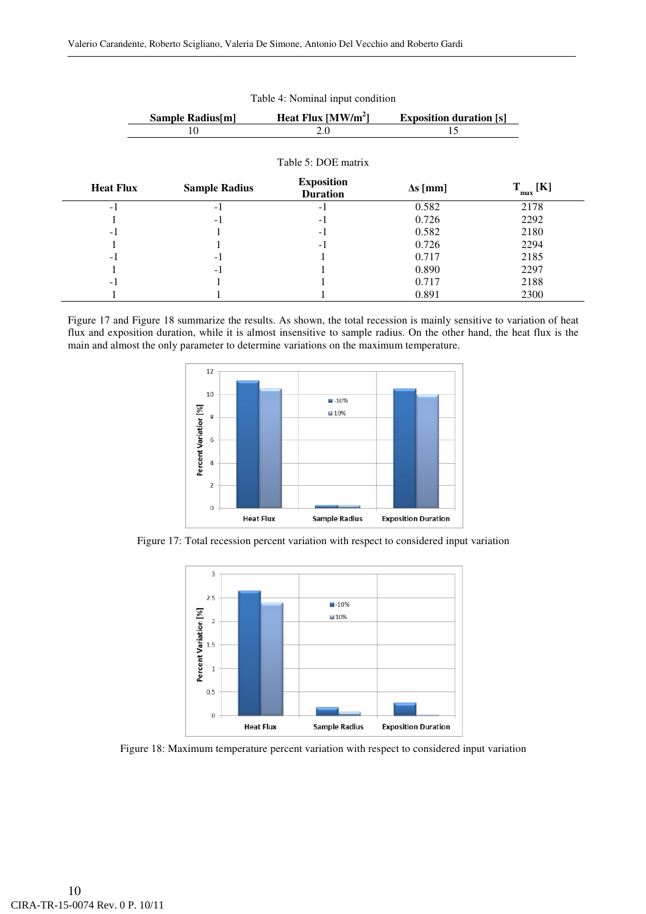|                  | Sample Radius[m]     | Heat Flux $[MW/m2]$                  | <b>Exposition duration</b> [s] |            |  |  |  |
|------------------|----------------------|--------------------------------------|--------------------------------|------------|--|--|--|
|                  | 10                   | 2.0                                  | 15                             |            |  |  |  |
|                  |                      | Table 5: DOE matrix                  |                                |            |  |  |  |
| <b>Heat Flux</b> | <b>Sample Radius</b> | <b>Exposition</b><br><b>Duration</b> | $\Delta s$ [mm]                | [K]<br>max |  |  |  |
| $-1$             | $-1$                 | -1                                   | 0.582                          | 2178       |  |  |  |
|                  | $-1$                 | -1                                   | 0.726                          | 2292       |  |  |  |
| - 1              |                      | $-1$                                 | 0.582                          | 2180       |  |  |  |
|                  |                      | $-1$                                 | 0.726                          | 2294       |  |  |  |
| - 1              | $-1$                 |                                      | 0.717                          | 2185       |  |  |  |
|                  | $-1$                 |                                      | 0.890                          | 2297       |  |  |  |
| $-1$             |                      |                                      | 0.717                          | 2188       |  |  |  |
|                  |                      |                                      | 0.891                          | 2300       |  |  |  |

Table 4: Nominal input condition

j

Figure 17 and Figure 18 summarize the results. As shown, the total recession is mainly sensitive to variation of heat flux and exposition duration, while it is almost insensitive to sample radius. On the other hand, the heat flux is the main and almost the only parameter to determine variations on the maximum temperature.



Figure 17: Total recession percent variation with respect to considered input variation



Figure 18: Maximum temperature percent variation with respect to considered input variation